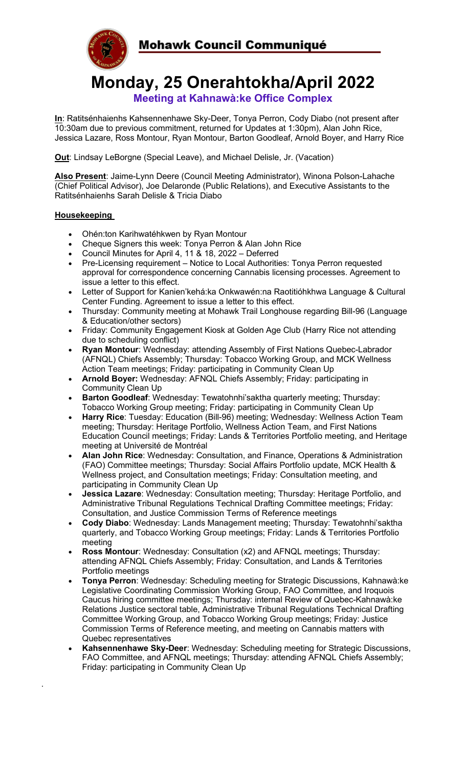

**Monday, 25 Onerahtokha/April 2022 Meeting at Kahnawà:ke Office Complex**

**In**: Ratitsénhaienhs Kahsennenhawe Sky-Deer, Tonya Perron, Cody Diabo (not present after 10:30am due to previous commitment, returned for Updates at 1:30pm), Alan John Rice, Jessica Lazare, Ross Montour, Ryan Montour, Barton Goodleaf, Arnold Boyer, and Harry Rice

**Out**: Lindsay LeBorgne (Special Leave), and Michael Delisle, Jr. (Vacation)

**Also Present**: Jaime-Lynn Deere (Council Meeting Administrator), Winona Polson-Lahache (Chief Political Advisor), Joe Delaronde (Public Relations), and Executive Assistants to the Ratitsénhaienhs Sarah Delisle & Tricia Diabo

## **Housekeeping**

·

- Ohén:ton Karihwatéhkwen by Ryan Montour
- Cheque Signers this week: Tonya Perron & Alan John Rice
- Council Minutes for April 4, 11 & 18, 2022 Deferred
- Pre-Licensing requirement Notice to Local Authorities: Tonya Perron requested approval for correspondence concerning Cannabis licensing processes. Agreement to issue a letter to this effect.
- Letter of Support for Kanien'kehá:ka Onkwawén:na Raotitióhkhwa Language & Cultural Center Funding. Agreement to issue a letter to this effect.
- Thursday: Community meeting at Mohawk Trail Longhouse regarding Bill-96 (Language & Education/other sectors)
- Friday: Community Engagement Kiosk at Golden Age Club (Harry Rice not attending due to scheduling conflict)
- **Ryan Montour**: Wednesday: attending Assembly of First Nations Quebec-Labrador (AFNQL) Chiefs Assembly; Thursday: Tobacco Working Group, and MCK Wellness Action Team meetings; Friday: participating in Community Clean Up
- **Arnold Boyer:** Wednesday: AFNQL Chiefs Assembly; Friday: participating in Community Clean Up
- **Barton Goodleaf**: Wednesday: Tewatohnhi'saktha quarterly meeting; Thursday: Tobacco Working Group meeting; Friday: participating in Community Clean Up
- **Harry Rice**: Tuesday: Education (Bill-96) meeting; Wednesday: Wellness Action Team meeting; Thursday: Heritage Portfolio, Wellness Action Team, and First Nations Education Council meetings; Friday: Lands & Territories Portfolio meeting, and Heritage meeting at Université de Montréal
- **Alan John Rice**: Wednesday: Consultation, and Finance, Operations & Administration (FAO) Committee meetings; Thursday: Social Affairs Portfolio update, MCK Health & Wellness project, and Consultation meetings; Friday: Consultation meeting, and participating in Community Clean Up
- **Jessica Lazare**: Wednesday: Consultation meeting; Thursday: Heritage Portfolio, and Administrative Tribunal Regulations Technical Drafting Committee meetings; Friday: Consultation, and Justice Commission Terms of Reference meetings
- **Cody Diabo**: Wednesday: Lands Management meeting; Thursday: Tewatohnhi'saktha quarterly, and Tobacco Working Group meetings; Friday: Lands & Territories Portfolio meeting
- **Ross Montour**: Wednesday: Consultation (x2) and AFNQL meetings; Thursday: attending AFNQL Chiefs Assembly; Friday: Consultation, and Lands & Territories Portfolio meetings
- **Tonya Perron**: Wednesday: Scheduling meeting for Strategic Discussions, Kahnawà:ke Legislative Coordinating Commission Working Group, FAO Committee, and Iroquois Caucus hiring committee meetings; Thursday: internal Review of Quebec-Kahnawà:ke Relations Justice sectoral table, Administrative Tribunal Regulations Technical Drafting Committee Working Group, and Tobacco Working Group meetings; Friday: Justice Commission Terms of Reference meeting, and meeting on Cannabis matters with Quebec representatives
- **Kahsennenhawe Sky-Deer**: Wednesday: Scheduling meeting for Strategic Discussions, FAO Committee, and AFNQL meetings; Thursday: attending AFNQL Chiefs Assembly; Friday: participating in Community Clean Up